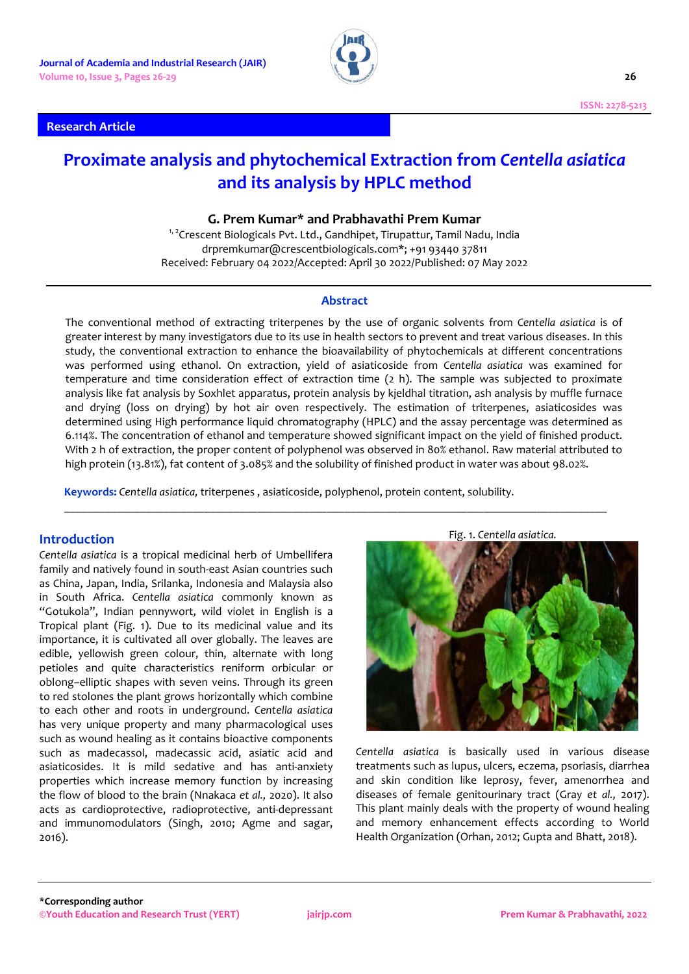## **Research Article**



# **Proximate analysis and phytochemical Extraction from** *Centella asiatica* **and its analysis by HPLC method**

## **G. Prem Kumar\* and Prabhavathi Prem Kumar**

<sup>1, 2</sup>Crescent Biologicals Pvt. Ltd., Gandhipet, Tirupattur, Tamil Nadu, India drpremkumar@crescentbiologicals.com\*; +91 93440 37811 Received: February 04 2022/Accepted: April 30 2022/Published: 07 May 2022

## **Abstract**

The conventional method of extracting triterpenes by the use of organic solvents from *Centella asiatica* is of greater interest by many investigators due to its use in health sectors to prevent and treat various diseases. In this study, the conventional extraction to enhance the bioavailability of phytochemicals at different concentrations was performed using ethanol. On extraction, yield of asiaticoside from *Centella asiatica* was examined for temperature and time consideration effect of extraction time (2 h). The sample was subjected to proximate analysis like fat analysis by Soxhlet apparatus, protein analysis by kjeldhal titration, ash analysis by muffle furnace and drying (loss on drying) by hot air oven respectively. The estimation of triterpenes, asiaticosides was determined using High performance liquid chromatography (HPLC) and the assay percentage was determined as 6.114%. The concentration of ethanol and temperature showed significant impact on the yield of finished product. With 2 h of extraction, the proper content of polyphenol was observed in 80% ethanol. Raw material attributed to high protein (13.81%), fat content of 3.085% and the solubility of finished product in water was about 98.02%.

\_\_\_\_\_\_\_\_\_\_\_\_\_\_\_\_\_\_\_\_\_\_\_\_\_\_\_\_\_\_\_\_\_\_\_\_\_\_\_\_\_\_\_\_\_\_\_\_\_\_\_\_\_\_\_\_\_\_\_\_\_\_\_\_\_\_\_\_\_\_\_\_\_\_\_\_\_\_\_\_\_\_\_\_\_\_\_\_\_\_\_\_\_

**Keywords:** *Centella asiatica,* triterpenes , asiaticoside, polyphenol, protein content, solubility.

## **Introduction**

*Centella asiatica* is a tropical medicinal herb of Umbellifera family and natively found in south-east Asian countries such as China, Japan, India, Srilanka, Indonesia and Malaysia also in South Africa. *Centella asiatica* commonly known as "Gotukola", Indian pennywort, wild violet in English is a Tropical plant (Fig. 1). Due to its medicinal value and its importance, it is cultivated all over globally. The leaves are edible, yellowish green colour, thin, alternate with long petioles and quite characteristics reniform orbicular or oblong–elliptic shapes with seven veins. Through its green to red stolones the plant grows horizontally which combine to each other and roots in underground. *Centella asiatica* has very unique property and many pharmacological uses such as wound healing as it contains bioactive components such as madecassol, madecassic acid, asiatic acid and asiaticosides. It is mild sedative and has anti-anxiety properties which increase memory function by increasing the flow of blood to the brain (Nnakaca *et al.,* 2020). It also acts as cardioprotective, radioprotective, anti-depressant and immunomodulators (Singh, 2010; Agme and sagar, 2016).



Fig. 1. *Centella asiatica.*

*Centella asiatica* is basically used in various disease treatments such as lupus, ulcers, eczema, psoriasis, diarrhea and skin condition like leprosy, fever, amenorrhea and diseases of female genitourinary tract (Gray *et al.,* 2017). This plant mainly deals with the property of wound healing and memory enhancement effects according to World Health Organization (Orhan, 2012; Gupta and Bhatt, 2018).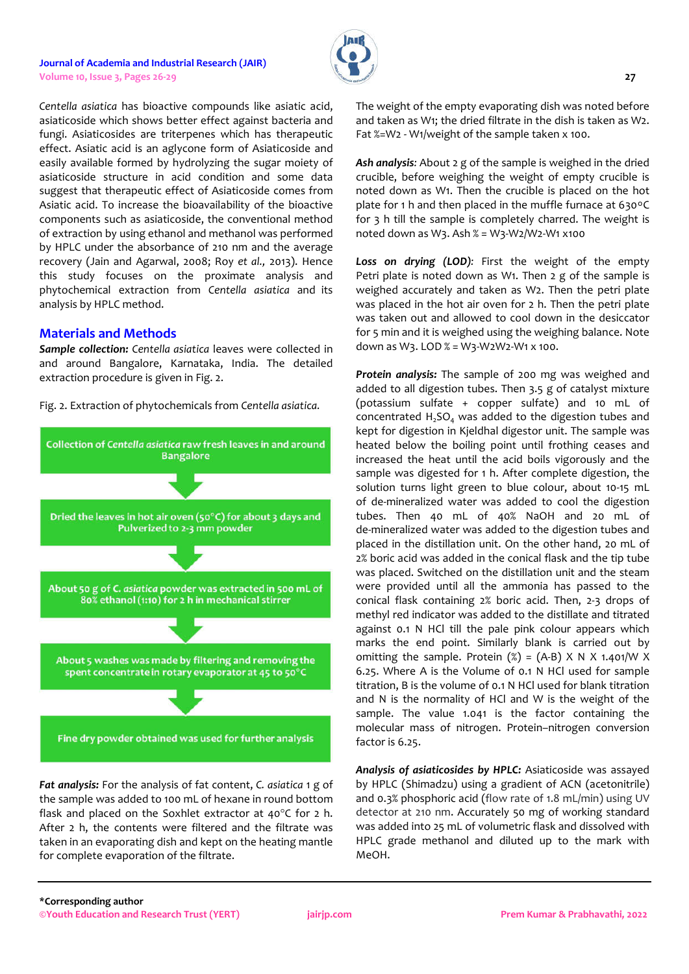#### **Journal of Academia and Industrial Research (JAIR) Volume 10, Issue 3, Pages 26-29 27**

*Centella asiatica* has bioactive compounds like asiatic acid, asiaticoside which shows better effect against bacteria and fungi. Asiaticosides are triterpenes which has therapeutic effect. Asiatic acid is an aglycone form of Asiaticoside and easily available formed by hydrolyzing the sugar moiety of asiaticoside structure in acid condition and some data suggest that therapeutic effect of Asiaticoside comes from Asiatic acid. To increase the bioavailability of the bioactive components such as asiaticoside, the conventional method of extraction by using ethanol and methanol was performed by HPLC under the absorbance of 210 nm and the average recovery (Jain and Agarwal, 2008; Roy *et al.,* 2013). Hence this study focuses on the proximate analysis and phytochemical extraction from *Centella asiatica* and its analysis by HPLC method.

## **Materials and Methods**

*Sample collection: Centella asiatica* leaves were collected in and around Bangalore, Karnataka, India. The detailed extraction procedure is given in Fig. 2.

Fig. 2. Extraction of phytochemicals from *Centella asiatica.*



*Fat analysis:* For the analysis of fat content, *C. asiatica* 1 g of the sample was added to 100 mL of hexane in round bottom flask and placed on the Soxhlet extractor at  $40^{\circ}$ C for 2 h. After 2 h, the contents were filtered and the filtrate was taken in an evaporating dish and kept on the heating mantle for complete evaporation of the filtrate.

The weight of the empty evaporating dish was noted before and taken as W1; the dried filtrate in the dish is taken as W2. Fat %=W2 - W1/weight of the sample taken x 100.

*Ash analysis:* About 2 g of the sample is weighed in the dried crucible, before weighing the weight of empty crucible is noted down as W1. Then the crucible is placed on the hot plate for 1 h and then placed in the muffle furnace at 630°C for 3 h till the sample is completely charred. The weight is noted down as W3. Ash % = W3-W2/W2-W1 x100

*Loss on drying (LOD):* First the weight of the empty Petri plate is noted down as W1. Then 2 g of the sample is weighed accurately and taken as W2. Then the petri plate was placed in the hot air oven for 2 h. Then the petri plate was taken out and allowed to cool down in the desiccator for 5 min and it is weighed using the weighing balance. Note down as W3. LOD % = W3-W2W2-W1 x 100.

*Protein analysis:* The sample of 200 mg was weighed and added to all digestion tubes. Then 3.5 g of catalyst mixture (potassium sulfate + copper sulfate) and 10 mL of concentrated  $H_2SO_4$  was added to the digestion tubes and kept for digestion in Kjeldhal digestor unit. The sample was heated below the boiling point until frothing ceases and increased the heat until the acid boils vigorously and the sample was digested for 1 h. After complete digestion, the solution turns light green to blue colour, about 10-15 mL of de-mineralized water was added to cool the digestion tubes. Then 40 mL of 40% NaOH and 20 mL of de-mineralized water was added to the digestion tubes and placed in the distillation unit. On the other hand, 20 mL of 2% boric acid was added in the conical flask and the tip tube was placed. Switched on the distillation unit and the steam were provided until all the ammonia has passed to the conical flask containing 2% boric acid. Then, 2-3 drops of methyl red indicator was added to the distillate and titrated against 0.1 N HCl till the pale pink colour appears which marks the end point. Similarly blank is carried out by omitting the sample. Protein  $(\%) = (A-B) \times N \times 1.401/W \times$ 6.25. Where A is the Volume of 0.1 N HCl used for sample titration, B is the volume of 0.1 N HCl used for blank titration and N is the normality of HCl and W is the weight of the sample. The value 1.041 is the factor containing the molecular mass of nitrogen. Protein–nitrogen conversion factor is 6.25.

*Analysis of asiaticosides by HPLC:* Asiaticoside was assayed by HPLC (Shimadzu) using a gradient of ACN (acetonitrile) and 0.3% phosphoric acid (flow rate of 1.8 mL/min) using UV detector at 210 nm. Accurately 50 mg of working standard was added into 25 mL of volumetric flask and dissolved with HPLC grade methanol and diluted up to the mark with MeOH.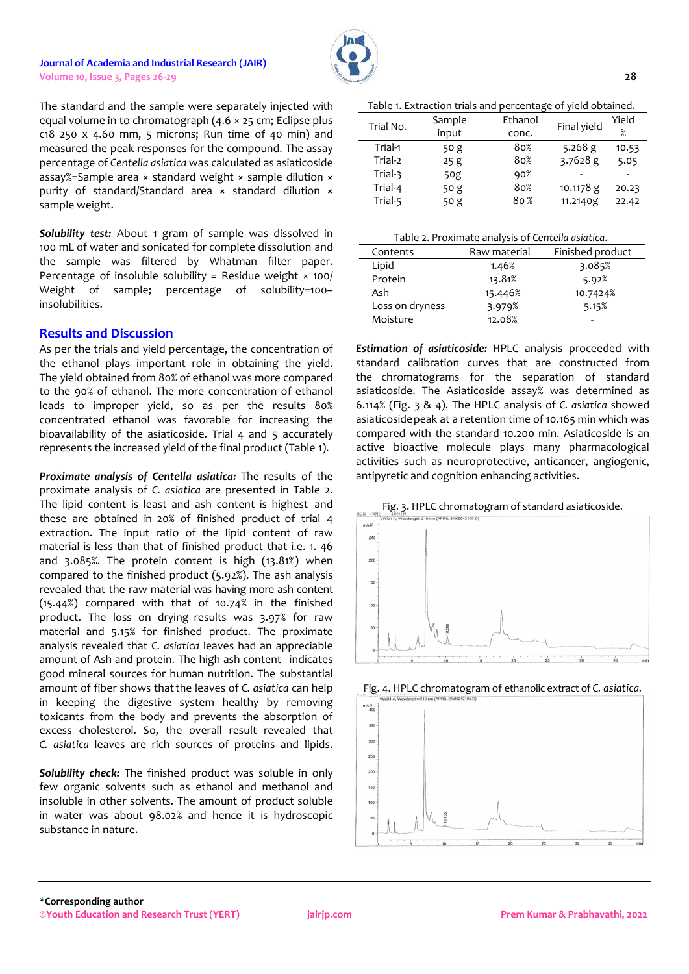#### **Journal of Academia and Industrial Research (JAIR) Volume 10, Issue 3, Pages 26-29 28**



The standard and the sample were separately injected with equal volume in to chromatograph (4.6 × 25 cm; Eclipse plus  $c18$  250 x 4.60 mm, 5 microns; Run time of 40 min) and measured the peak responses for the compound. The assay percentage of *Centella asiatica* was calculated as asiaticoside assay%=Sample area **×** standard weight **×** sample dilution **×** purity of standard/Standard area **×** standard dilution **×** sample weight.

*Solubility test:* About 1 gram of sample was dissolved in 100 mL of water and sonicated for complete dissolution and the sample was filtered by Whatman filter paper. Percentage of insoluble solubility = Residue weight × 100/ Weight of sample; percentage of solubility=100insolubilities.

## **Results and Discussion**

As per the trials and yield percentage, the concentration of the ethanol plays important role in obtaining the yield. The yield obtained from 80% of ethanol was more compared to the 90% of ethanol. The more concentration of ethanol leads to improper yield, so as per the results 80% concentrated ethanol was favorable for increasing the bioavailability of the asiaticoside. Trial 4 and 5 accurately represents the increased yield of the final product (Table 1).

*Proximate analysis of Centella asiatica:* The results of the proximate analysis of *C. asiatica* are presented in Table 2. The lipid content is least and ash content is highest and these are obtained in 20% of finished product of trial 4 extraction. The input ratio of the lipid content of raw material is less than that of finished product that i.e. 1. 46 and 3.085%. The protein content is high (13.81%) when compared to the finished product (5.92%). The ash analysis revealed that the raw material was having more ash content (15.44%) compared with that of 10.74% in the finished product. The loss on drying results was 3.97% for raw material and 5.15% for finished product. The proximate analysis revealed that *C. asiatica* leaves had an appreciable amount of Ash and protein. The high ash content indicates good mineral sources for human nutrition. The substantial amount of fiber shows thatthe leaves of *C. asiatica* can help in keeping the digestive system healthy by removing toxicants from the body and prevents the absorption of excess cholesterol. So, the overall result revealed that *C. asiatica* leaves are rich sources of proteins and lipids.

*Solubility check:* The finished product was soluble in only few organic solvents such as ethanol and methanol and insoluble in other solvents. The amount of product soluble in water was about 98.02% and hence it is hydroscopic substance in nature.

Table 1. Extraction trials and percentage of yield obtained.

| Trial No. | Sample | Ethanol         | Final yield | Yield |
|-----------|--------|-----------------|-------------|-------|
|           | input  | conc.           |             | $\%$  |
| Trial-1   | 50 g   | 80%             | 5.268 $g$   | 10.53 |
| Trial-2   | 25g    | 80%             | $3.7628$ g  | 5.05  |
| Trial-3   | 50g    | 90%             |             |       |
| Trial-4   | 50 g   | 80%             | 10.1178 g   | 20.23 |
| Trial-5   | 50 g   | 80 <sup>%</sup> | 11.2140g    | 22.42 |

| Contents        | Raw material | Finished product |
|-----------------|--------------|------------------|
| Lipid           | 1.46%        | 3.085%           |
| Protein         | 13.81%       | 5.92%            |
| Ash             | 15.446%      | 10.7424%         |
| Loss on dryness | 3.979%       | 5.15%            |
| Moisture        | 12.08%       | -                |

*Estimation of asiaticoside:* HPLC analysis proceeded with standard calibration curves that are constructed from the chromatograms for the separation of standard asiaticoside. The Asiaticoside assay% was determined as 6.114% (Fig. 3 & 4). The HPLC analysis of *C. asiatica* showed asiaticosidepeak at a retention time of 10.165 min which was compared with the standard 10.200 min. Asiaticoside is an active bioactive molecule plays many pharmacological activities such as neuroprotective, anticancer, angiogenic, antipyretic and cognition enhancing activities.





Fig. 4. HPLC chromatogram of ethanolic extract of *C. asiatica.*